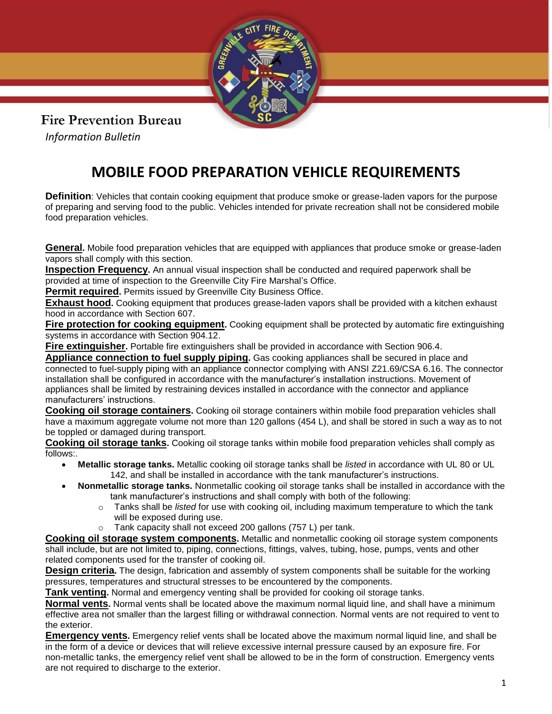

## **Fire Prevention Bureau**

*Information Bulletin*

## **MOBILE FOOD PREPARATION VEHICLE REQUIREMENTS**

**Definition**: Vehicles that contain cooking equipment that produce smoke or grease-laden vapors for the purpose of preparing and serving food to the public. Vehicles intended for private recreation shall not be considered mobile food preparation vehicles.

**General.** Mobile food preparation vehicles that are equipped with appliances that produce smoke or grease-laden vapors shall comply with this section.

**Inspection Frequency.** An annual visual inspection shall be conducted and required paperwork shall be provided at time of inspection to the Greenville City Fire Marshal's Office.

**Permit required.** Permits issued by Greenville City Business Office.

**Exhaust hood.** Cooking equipment that produces grease-laden vapors shall be provided with a kitchen exhaust hood in accordance with Section 607.

**Fire protection for cooking equipment.** Cooking equipment shall be protected by automatic fire extinguishing systems in accordance with Section 904.12.

**Fire extinguisher.** Portable fire extinguishers shall be provided in accordance with Section 906.4.

**Appliance connection to fuel supply piping.** Gas cooking appliances shall be secured in place and connected to fuel-supply piping with an appliance connector complying with ANSI Z21.69/CSA 6.16. The connector installation shall be configured in accordance with the manufacturer's installation instructions. Movement of appliances shall be limited by restraining devices installed in accordance with the connector and appliance manufacturers' instructions.

**Cooking oil storage containers.** Cooking oil storage containers within mobile food preparation vehicles shall have a maximum aggregate volume not more than 120 gallons (454 L), and shall be stored in such a way as to not be toppled or damaged during transport.

**Cooking oil storage tanks.** Cooking oil storage tanks within mobile food preparation vehicles shall comply as follows:.

- **Metallic storage tanks.** Metallic cooking oil storage tanks shall be *listed* in accordance with UL 80 or UL 142, and shall be installed in accordance with the tank manufacturer's instructions.
- **Nonmetallic storage tanks.** Nonmetallic cooking oil storage tanks shall be installed in accordance with the tank manufacturer's instructions and shall comply with both of the following:
	- o Tanks shall be *listed* for use with cooking oil, including maximum temperature to which the tank will be exposed during use.
	- o Tank capacity shall not exceed 200 gallons (757 L) per tank.

**Cooking oil storage system components.** Metallic and nonmetallic cooking oil storage system components shall include, but are not limited to, piping, connections, fittings, valves, tubing, hose, pumps, vents and other related components used for the transfer of cooking oil.

**Design criteria.** The design, fabrication and assembly of system components shall be suitable for the working pressures, temperatures and structural stresses to be encountered by the components.

**Tank venting.** Normal and emergency venting shall be provided for cooking oil storage tanks.

**Normal vents.** Normal vents shall be located above the maximum normal liquid line, and shall have a minimum effective area not smaller than the largest filling or withdrawal connection. Normal vents are not required to vent to the exterior.

**Emergency vents.** Emergency relief vents shall be located above the maximum normal liquid line, and shall be in the form of a device or devices that will relieve excessive internal pressure caused by an exposure fire. For non-metallic tanks, the emergency relief vent shall be allowed to be in the form of construction. Emergency vents are not required to discharge to the exterior.